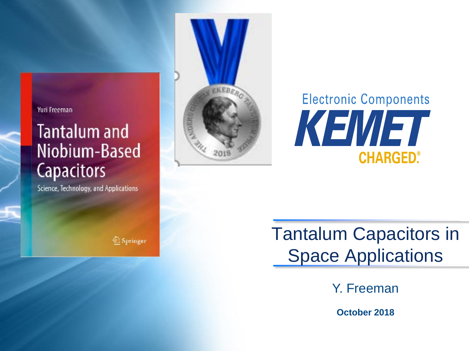#### Yuri Freeman

# **Tantalum and** Niobium-Based **Capacitors**

Science, Technology, and Applications



# **Electronic Components** KEMET **CHARGED®**

<sup>2</sup> Springer

**Tantalum Capacitors in Space Applications** 

Y. Freeman

**October 2018**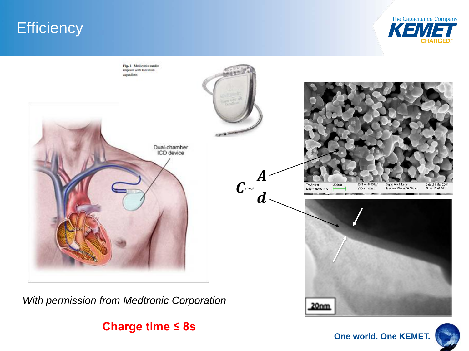## **Efficiency**





**Charge time ≤ 8s**

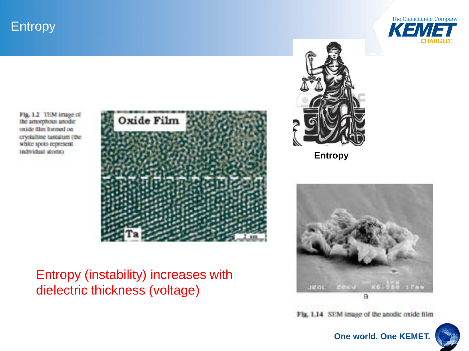Entropy



**Entropy** 

Fig. 1.2 TEM image of the amorphous anodic oxide film formed on crystalline tantalum (the white spots represent individual atoms)



#### Entropy (instability) increases with dielectric thickness (voltage)



Fig. 1.14 SEM image of the anodic oxide film

#### **One world. One KEMET.**

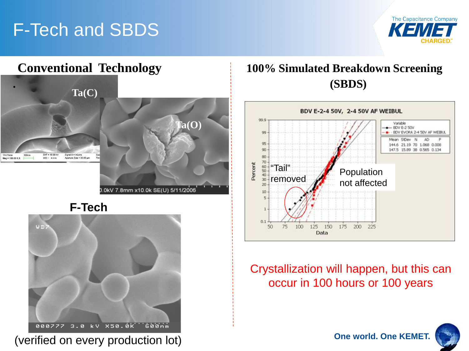# F-Tech and SBDS





**F-Tech**



(verified on every production lot)



#### Crystallization will happen, but this can occur in 100 hours or 100 years

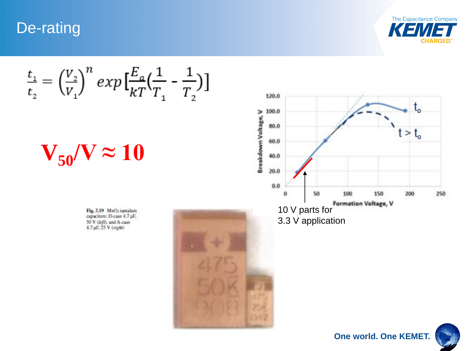De-rating



 $\frac{t_1}{t_2} = \left(\frac{V_2}{V_1}\right)^n exp\left[\frac{E_a}{kT}\left(\frac{1}{T_1}-\frac{1}{T_2}\right)\right]$ 

 $V_{50}$ /V  $\approx 10$ 

Fig. 3.19 MnO<sub>2</sub> tantalum capacitors: D-case 4.7 µF, 50 V (left), and A-case 4.7 µF, 25 V (right)





**One world. One KEMET.**

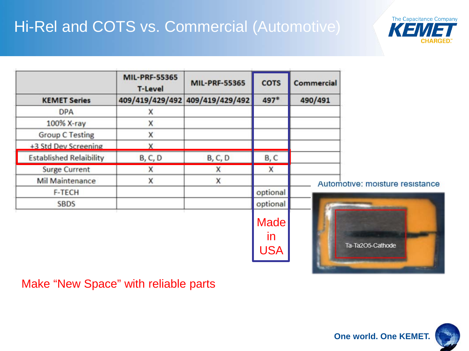## Hi-Rel and COTS vs. Commercial (Automotive)

|                                | <b>MIL-PRF-55365</b><br><b>T-Level</b> | <b>MIL-PRF-55365</b>            | <b>COTS</b>                            | <b>Commercial</b> |                                 |
|--------------------------------|----------------------------------------|---------------------------------|----------------------------------------|-------------------|---------------------------------|
| <b>KEMET Series</b>            |                                        | 409/419/429/492 409/419/429/492 | 497*                                   | 490/491           |                                 |
| <b>DPA</b>                     | Χ                                      |                                 |                                        |                   |                                 |
| 100% X-ray                     | X                                      |                                 |                                        |                   |                                 |
| <b>Group C Testing</b>         | χ                                      |                                 |                                        |                   |                                 |
| +3 Std Dev Screening           | X                                      |                                 |                                        |                   |                                 |
| <b>Established Relaibility</b> | <b>B, C, D</b>                         | <b>B, C, D</b>                  | <b>B, C</b>                            |                   |                                 |
| <b>Surge Current</b>           | X                                      | X                               | X                                      |                   |                                 |
| <b>Mil Maintenance</b>         | X                                      | X                               |                                        |                   | Automotive: moisture resistance |
| F-TECH                         |                                        |                                 | optional                               |                   |                                 |
| <b>SBDS</b>                    |                                        |                                 | optional                               |                   |                                 |
|                                |                                        |                                 | <b>Made</b>                            |                   |                                 |
|                                |                                        |                                 | $\mathsf{I}$                           |                   |                                 |
|                                |                                        |                                 | $\mathbf{1}$ $\mathbf{2}$ $\mathbf{3}$ |                   | Ta-Ta2O5-Cathode                |

USA

Make "New Space" with reliable parts

The Capacitance Company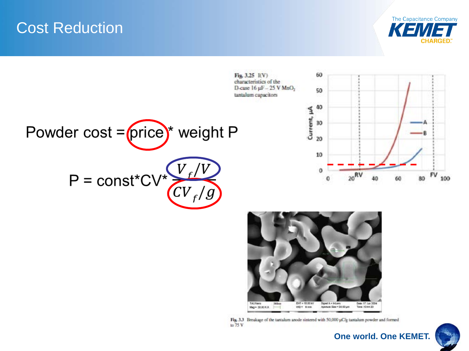### Cost Reduction







Fig. 3.3 Breakage of the tantalum anode sintered with 50,000 µC/g tantalum powder and formed to  $75V$ 



100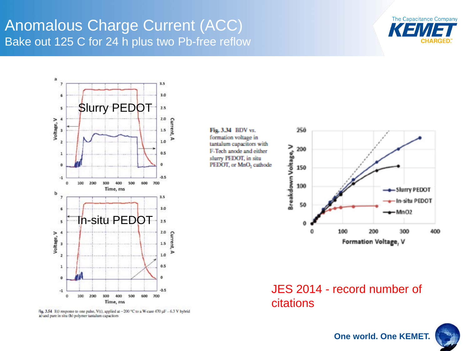#### Anomalous Charge Current (ACC) Bake out 125 C for 24 h plus two Pb-free reflow





Fig. 3.54 I(t) response to one pulse, V(t), applied at -200 °C to a W-case 470 µF - 6.3 V hybrid a) and pure in situ (b) polymer tantalum capacitors

Fig. 3.34 BDV vs. formation voltage in tantalum capacitors with F-Tech anode and either slurry PEDOT, in situ PEDOT, or MnO, cathode



JES 2014 - record number of citations

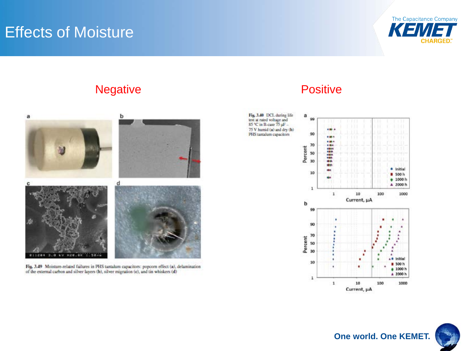## **Effects of Moisture**



#### Negative **Positive** Positive



Fig. 3.49 Moisture-related failures in PHS tantalum capacitors: popcorn effect  $(n)$ , delamination of the external carbon and silver layers  $(b)$ , silver migration  $(c)$ , and tin whiskers  $(d)$ 



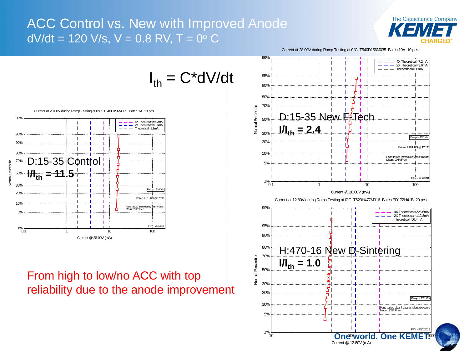#### ACC Control vs. New with Improved Anode  $dV/dt = 120$  V/s, V = 0.8 RV, T = 0 $^{\circ}$  C





Current @12.80V (mA)



Current at 28.00V during Ramp Testing at 0°C. T540D156M035. Batch 1A. 10 pcs.

#### $^{1\%}$ 5% 10% 20% 30% 50% 70% 80%  $0.1$  1 1  $10$  100 100 D:15-35 Control **I/Ith = 11.5**

90% 95%

Normal Percentile

Normal Percentile

99%

#### From high to low/no ACC with top reliability due to the anode improvement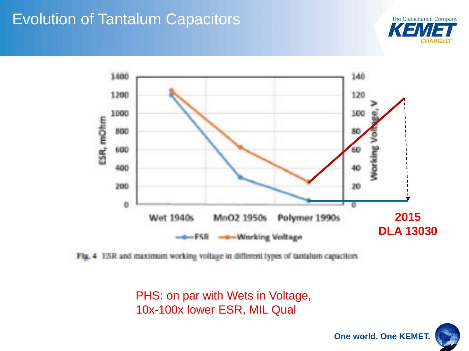## Evolution of Tantalum Capacitors





Fig. 4 ESR and maximum working voltage in different types of tantalum capacitors

PHS: on par with Wets in Voltage, 10x-100x lower ESR, MIL Qual